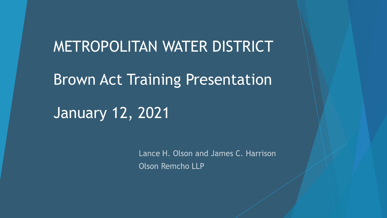METROPOLITAN WATER DISTRICT Brown Act Training Presentation January 12, 2021

> Lance H. Olson and James C. Harrison **Olson Remcho LLP**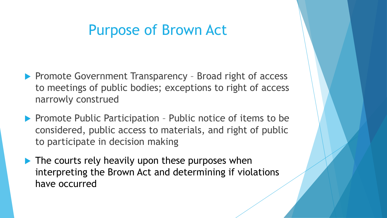#### Purpose of Brown Act

- ▶ Promote Government Transparency Broad right of access to meetings of public bodies; exceptions to right of access narrowly construed
- $\blacktriangleright$  Promote Public Participation Public notice of items to be considered, public access to materials, and right of public to participate in decision making
- $\blacktriangleright$  The courts rely heavily upon these purposes when interpreting the Brown Act and determining if violations have occurred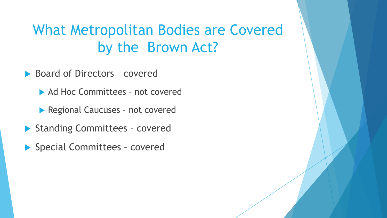# What Metropolitan Bodies are Covered by the Brown Act?

- ▶ Board of Directors covered
	- ▶ Ad Hoc Committees not covered
	- Regional Caucuses not covered
- Standing Committees covered
- ▶ Special Committees covered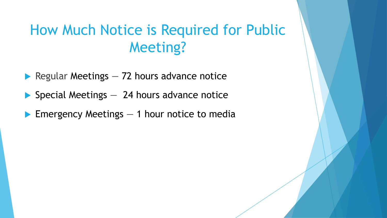# How Much Notice is Required for Public Meeting?

- Regular Meetings  $-72$  hours advance notice
- $\blacktriangleright$  Special Meetings  $-$  24 hours advance notice
- **Emergency Meetings**  $-1$  **hour notice to media**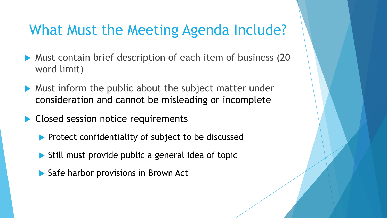### What Must the Meeting Agenda Include?

- **Must contain brief description of each item of business (20** word limit)
- $\blacktriangleright$  Must inform the public about the subject matter under consideration and cannot be misleading or incomplete
- Closed session notice requirements
	- Protect confidentiality of subject to be discussed
	- $\triangleright$  Still must provide public a general idea of topic
	- ▶ Safe harbor provisions in Brown Act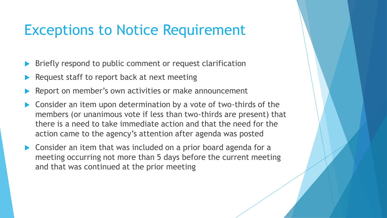### Exceptions to Notice Requirement

- Briefly respond to public comment or request clarification
- Request staff to report back at next meeting
- Report on member's own activities or make announcement
- Consider an item upon determination by a vote of two-thirds of the members (or unanimous vote if less than two-thirds are present) that there is a need to take immediate action and that the need for the action came to the agency's attention after agenda was posted
- ▶ Consider an item that was included on a prior board agenda for a meeting occurring not more than 5 days before the current meeting and that was continued at the prior meeting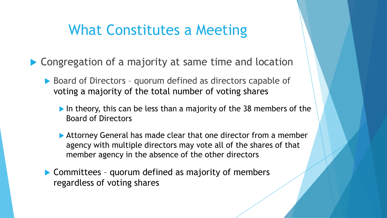#### What Constitutes a Meeting

- ▶ Congregation of a majority at same time and location
	- ▶ Board of Directors quorum defined as directors capable of voting a majority of the total number of voting shares
		- In theory, this can be less than a majority of the 38 members of the Board of Directors
		- Attorney General has made clear that one director from a member agency with multiple directors may vote all of the shares of that member agency in the absence of the other directors
	- ▶ Committees quorum defined as majority of members regardless of voting shares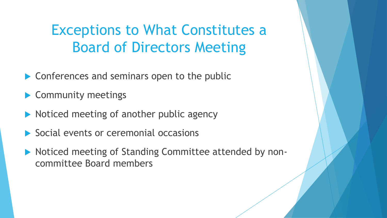Exceptions to What Constitutes a Board of Directors Meeting

▶ Conferences and seminars open to the public

▶ Community meetings

- $\blacktriangleright$  Noticed meeting of another public agency
- Social events or ceremonial occasions
- ▶ Noticed meeting of Standing Committee attended by noncommittee Board members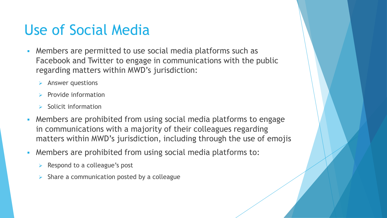## Use of Social Media

- **EXECT** Members are permitted to use social media platforms such as Facebook and Twitter to engage in communications with the public regarding matters within MWD's jurisdiction:
	- ➢ Answer questions
	- $\triangleright$  Provide information
	- $\triangleright$  Solicit information
- **Members are prohibited from using social media platforms to engage** in communications with a majority of their colleagues regarding matters within MWD's jurisdiction, including through the use of emojis
- Members are prohibited from using social media platforms to:
	- $\triangleright$  Respond to a colleague's post
	- $\triangleright$  Share a communication posted by a colleague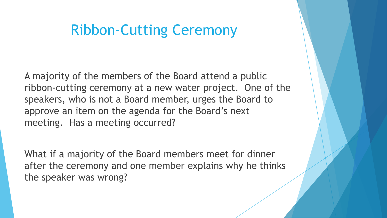### Ribbon-Cutting Ceremony

A majority of the members of the Board attend a public ribbon-cutting ceremony at a new water project. One of the speakers, who is not a Board member, urges the Board to approve an item on the agenda for the Board's next meeting. Has a meeting occurred?

What if a majority of the Board members meet for dinner after the ceremony and one member explains why he thinks the speaker was wrong?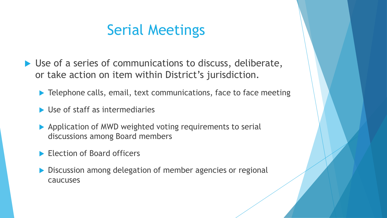### Serial Meetings

▶ Use of a series of communications to discuss, deliberate, or take action on item within District's jurisdiction.

▶ Telephone calls, email, text communications, face to face meeting

- ▶ Use of staff as intermediaries
- Application of MWD weighted voting requirements to serial discussions among Board members
- Election of Board officers
- **Discussion among delegation of member agencies or regional** caucuses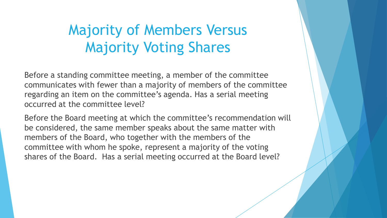# Majority of Members Versus Majority Voting Shares

Before a standing committee meeting, a member of the committee communicates with fewer than a majority of members of the committee regarding an item on the committee's agenda. Has a serial meeting occurred at the committee level?

Before the Board meeting at which the committee's recommendation will be considered, the same member speaks about the same matter with members of the Board, who together with the members of the committee with whom he spoke, represent a majority of the voting shares of the Board. Has a serial meeting occurred at the Board level?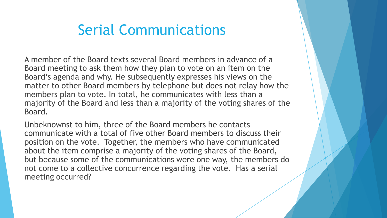### Serial Communications

A member of the Board texts several Board members in advance of a Board meeting to ask them how they plan to vote on an item on the Board's agenda and why. He subsequently expresses his views on the matter to other Board members by telephone but does not relay how the members plan to vote. In total, he communicates with less than a majority of the Board and less than a majority of the voting shares of the Board.

Unbeknownst to him, three of the Board members he contacts communicate with a total of five other Board members to discuss their position on the vote. Together, the members who have communicated about the item comprise a majority of the voting shares of the Board, but because some of the communications were one way, the members do not come to a collective concurrence regarding the vote. Has a serial meeting occurred?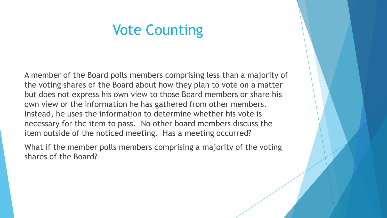#### Vote Counting

A member of the Board polls members comprising less than a majority of the voting shares of the Board about how they plan to vote on a matter but does not express his own view to those Board members or share his own view or the information he has gathered from other members. Instead, he uses the information to determine whether his vote is necessary for the item to pass. No other board members discuss the item outside of the noticed meeting. Has a meeting occurred?

What if the member polls members comprising a majority of the voting shares of the Board?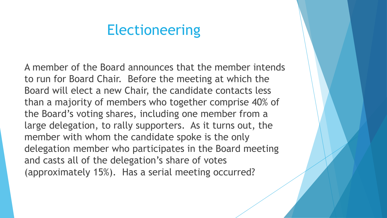#### Electioneering

A member of the Board announces that the member intends to run for Board Chair. Before the meeting at which the Board will elect a new Chair, the candidate contacts less than a majority of members who together comprise 40% of the Board's voting shares, including one member from a large delegation, to rally supporters. As it turns out, the member with whom the candidate spoke is the only delegation member who participates in the Board meeting and casts all of the delegation's share of votes (approximately 15%). Has a serial meeting occurred?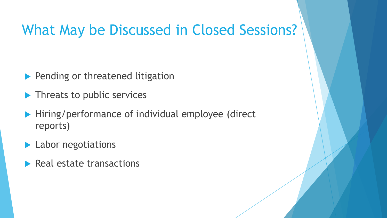## What May be Discussed in Closed Sessions?

- **Pending or threatened litigation**
- **Threats to public services**
- ▶ Hiring/performance of individual employee (direct reports)
- Labor negotiations
- $\blacktriangleright$  Real estate transactions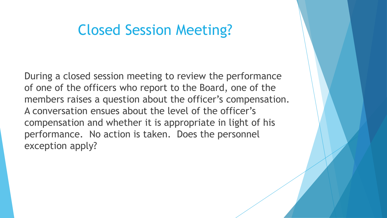#### Closed Session Meeting?

During a closed session meeting to review the performance of one of the officers who report to the Board, one of the members raises a question about the officer's compensation. A conversation ensues about the level of the officer's compensation and whether it is appropriate in light of his performance. No action is taken. Does the personnel exception apply?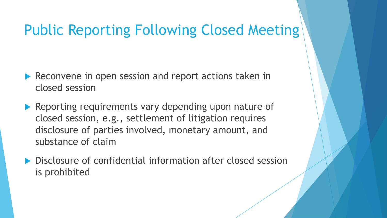## Public Reporting Following Closed Meeting

- Reconvene in open session and report actions taken in closed session
- Reporting requirements vary depending upon nature of closed session, e.g., settlement of litigation requires disclosure of parties involved, monetary amount, and substance of claim
- ▶ Disclosure of confidential information after closed session is prohibited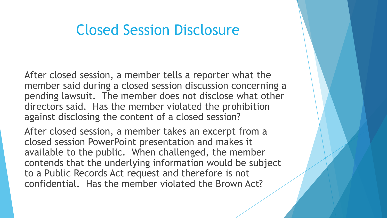#### Closed Session Disclosure

After closed session, a member tells a reporter what the member said during a closed session discussion concerning a pending lawsuit. The member does not disclose what other directors said. Has the member violated the prohibition against disclosing the content of a closed session?

After closed session, a member takes an excerpt from a closed session PowerPoint presentation and makes it available to the public. When challenged, the member contends that the underlying information would be subject to a Public Records Act request and therefore is not confidential. Has the member violated the Brown Act?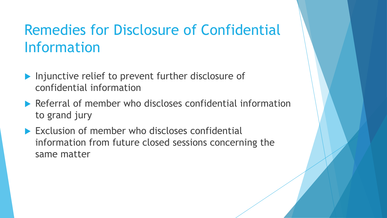# Remedies for Disclosure of Confidential Information

- **Injunctive relief to prevent further disclosure of** confidential information
- ▶ Referral of member who discloses confidential information to grand jury
- Exclusion of member who discloses confidential information from future closed sessions concerning the same matter